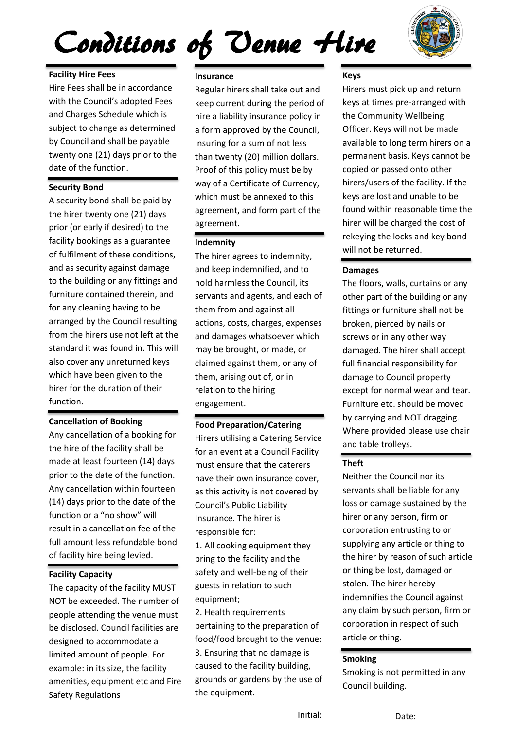# Conditions of Venue Hire



### **Facility Hire Fees**

and Charges Schedule which is<br>subject to change as determined ...<br>e c Hire Fees shall be in accordance with the Council's adopted Fees and Charges Schedule which is by Council and shall be payable twenty one (21) days prior to the date of the function.

#### **Security Bond**

A security bond shall be paid by the hirer twenty one (21) days prior (or early if desired) to the facility bookings as a guarantee of fulfilment of these conditions, and as security against damage to the building or any fittings and furniture contained therein, and for any cleaning having to be arranged by the Council resulting from the hirers use not left at the standard it was found in. This will also cover any unreturned keys which have been given to the hirer for the duration of their function.

#### **Cancellation of Booking**

Any cancellation of a booking for the hire of the facility shall be made at least fourteen (14) days prior to the date of the function. Any cancellation within fourteen (14) days prior to the date of the function or a "no show" will result in a cancellation fee of the full amount less refundable bond of facility hire being levied.

#### **Facility Capacity**

The capacity of the facility MUST NOT be exceeded. The number of people attending the venue must be disclosed. Council facilities are designed to accommodate a limited amount of people. For example: in its size, the facility amenities, equipment etc and Fire Safety Regulations

#### **Insurance**

Regular hirers shall take out and keep current during the period of hire a liability insurance policy in a form approved by the Council, insuring for a sum of not less than twenty (20) million dollars. Proof of this policy must be by way of a Certificate of Currency, which must be annexed to this agreement, and form part of the agreement.

#### **Indemnity**

The hirer agrees to indemnity, and keep indemnified, and to hold harmless the Council, its servants and agents, and each of them from and against all actions, costs, charges, expenses and damages whatsoever which may be brought, or made, or claimed against them, or any of them, arising out of, or in relation to the hiring engagement.

#### **Food Preparation/Catering**

Hirers utilising a Catering Service for an event at a Council Facility must ensure that the caterers have their own insurance cover, as this activity is not covered by Council's Public Liability Insurance. The hirer is responsible for:

1. All cooking equipment they bring to the facility and the safety and well-being of their guests in relation to such equipment;

2. Health requirements pertaining to the preparation of food/food brought to the venue; 3. Ensuring that no damage is caused to the facility building, grounds or gardens by the use of the equipment.

#### **Keys**

Hirers must pick up and return keys at times pre-arranged with the Community Wellbeing Officer. Keys will not be made available to long term hirers on a permanent basis. Keys cannot be copied or passed onto other hirers/users of the facility. If the keys are lost and unable to be found within reasonable time the hirer will be charged the cost of rekeying the locks and key bond will not be returned.

#### **Damages**

The floors, walls, curtains or any other part of the building or any fittings or furniture shall not be broken, pierced by nails or screws or in any other way damaged. The hirer shall accept full financial responsibility for damage to Council property except for normal wear and tear. Furniture etc. should be moved by carrying and NOT dragging. Where provided please use chair and table trolleys.

#### **Theft**

Neither the Council nor its servants shall be liable for any loss or damage sustained by the hirer or any person, firm or corporation entrusting to or supplying any article or thing to the hirer by reason of such article or thing be lost, damaged or stolen. The hirer hereby indemnifies the Council against any claim by such person, firm or corporation in respect of such article or thing.

#### **Smoking**

Smoking is not permitted in any Council building.

Date: Initial: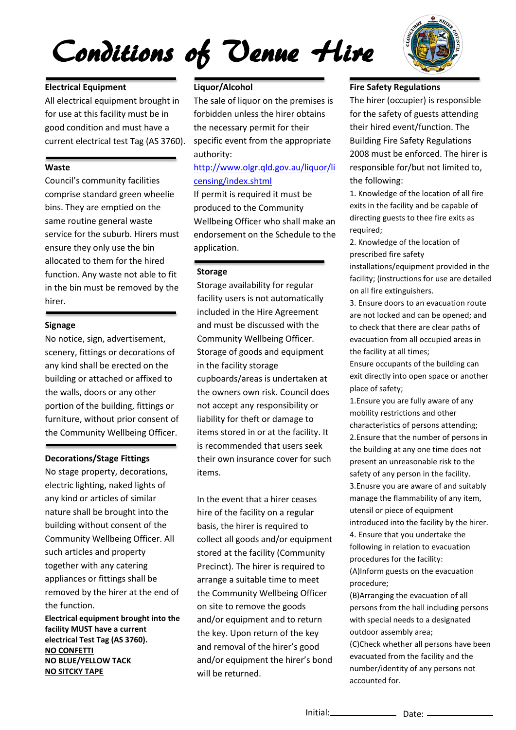## Conditions of Venue Hire



## **Electrical Equipment**

for use at this facility must be in<br>good condition and must have a All electrical equipment brought in for use at this facility must be in current electrical test Tag (AS 3760).

#### te<br>te **Waste**

bins. They are emptied on the<br>same routine general waste ensure they only use the bin<br>allocated to them for the hired in the bin must be removed by the<br>hirer.<br>———————————————————— Council's community facilities comprise standard green wheelie same routine general waste service for the suburb. Hirers must ensure they only use the bin function. Any waste not able to fit hirer.

#### **Signage**

No notice, sign, advertisement,<br>scenery, fittings or decorations building or attached or affixer<br>the walls, doors or any other the Community Wellbeing Officer. scenery, fittings or decorations of any kind shall be erected on the building or attached or affixed to portion of the building, fittings or furniture, without prior consent of

#### **Decorations/Stage Fittings**

No stage property, decorations,<br>electric lighting, naked lights of nature snall be brought into the<br>building without consent of the together with any catering<br>annliances or fittings shall I **Electrical equipment brought into the**  No stage property, decorations, any kind or articles of similar nature shall be brought into the Community Wellbeing Officer. All such articles and property appliances or fittings shall be removed by the hirer at the end of the function.

**facility MUST have a current electrical Test Tag (AS 3760). NO CONFETTI NO BLUE/YELLOW TACK NO SITCKY TAPE**

#### **Liquor/Alcohol**

The sale of liquor on the premises is forbidden unless the hirer obtains the necessary permit for their specific event from the appropriate authority:

#### [http://www.olgr.qld.gov.au/liquor/li](http://www.olgr.qld.gov.au/liquor/licensing/index.shtml) [censing/index.shtml](http://www.olgr.qld.gov.au/liquor/licensing/index.shtml)

If permit is required it must be produced to the Community Wellbeing Officer who shall make an endorsement on the Schedule to the application.

#### **Storage**

Storage availability for regular facility users is not automatically included in the Hire Agreement and must be discussed with the Community Wellbeing Officer. Storage of goods and equipment in the facility storage cupboards/areas is undertaken at the owners own risk. Council does not accept any responsibility or liability for theft or damage to items stored in or at the facility. It is recommended that users seek their own insurance cover for such items.

In the event that a hirer ceases hire of the facility on a regular basis, the hirer is required to collect all goods and/or equipment stored at the facility (Community Precinct). The hirer is required to arrange a suitable time to meet the Community Wellbeing Officer on site to remove the goods and/or equipment and to return the key. Upon return of the key and removal of the hirer's good and/or equipment the hirer's bond will be returned.

#### **Fire Safety Regulations**

The hirer (occupier) is responsible for the safety of guests attending their hired event/function. The Building Fire Safety Regulations 2008 must be enforced. The hirer is responsible for/but not limited to, the following:

1. Knowledge of the location of all fire exits in the facility and be capable of directing guests to thee fire exits as required;

2. Knowledge of the location of prescribed fire safety

installations/equipment provided in the facility; (instructions for use are detailed on all fire extinguishers.

3. Ensure doors to an evacuation route are not locked and can be opened; and to check that there are clear paths of evacuation from all occupied areas in the facility at all times;

Ensure occupants of the building can exit directly into open space or another place of safety;

1.Ensure you are fully aware of any mobility restrictions and other characteristics of persons attending; 2.Ensure that the number of persons in the building at any one time does not present an unreasonable risk to the safety of any person in the facility. 3.Enusre you are aware of and suitably manage the flammability of any item, utensil or piece of equipment introduced into the facility by the hirer. 4. Ensure that you undertake the following in relation to evacuation procedures for the facility: (A)Inform guests on the evacuation procedure;

(B)Arranging the evacuation of all persons from the hall including persons with special needs to a designated outdoor assembly area; (C)Check whether all persons have been

evacuated from the facility and the number/identity of any persons not accounted for.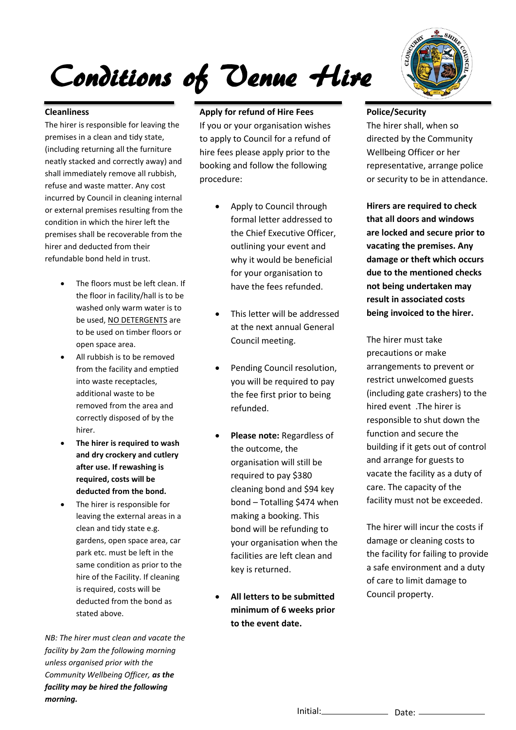## Conditions of Venue Hire

#### **Cleanliness**

**Clearniness**<br>The hirer is responsible for leaving the neatly stacked and correctly away) an<br>shall immediately remove all rubbish, or external premises resulting from the<br>condition in which the hirer left the hirer and deducted from their<br>refundable bond held in trust. premises in a clean and tidy state, (including returning all the furniture neatly stacked and correctly away) and refuse and waste matter. Any cost incurred by Council in cleaning internal condition in which the hirer left the premises shall be recoverable from the hirer and deducted from their

- $\mathbf{r}$  The floors must be left clean. If the floor in facility/hall is to be washed only warm water is to be used, NO DETERGENTS are to be used on timber floors or open space area.
- $\overline{\phantom{a}}$  All rubbish is to be removed from the facility and emptied into waste receptacles, additional waste to be removed from the area and correctly disposed of by the hirer.
- **The hirer is required to wash and dry crockery and cutlery after use. If rewashing is required, costs will be deducted from the bond.**
- The hirer is responsible for leaving the external areas in a clean and tidy state e.g. gardens, open space area, car park etc. must be left in the same condition as prior to the hire of the Facility. If cleaning is required, costs will be deducted from the bond as stated above.

*NB: The hirer must clean and vacate the facility by 2am the following morning unless organised prior with the Community Wellbeing Officer, as the facility may be hired the following morning.*

#### **Apply for refund of Hire Fees**

If you or your organisation wishes to apply to Council for a refund of hire fees please apply prior to the booking and follow the following procedure:

- Apply to Council through formal letter addressed to the Chief Executive Officer, outlining your event and why it would be beneficial for your organisation to have the fees refunded.
- This letter will be addressed at the next annual General Council meeting.
- Pending Council resolution, you will be required to pay the fee first prior to being refunded.
- **Please note:** Regardless of the outcome, the organisation will still be required to pay \$380 cleaning bond and \$94 key bond – Totalling \$474 when making a booking. This bond will be refunding to your organisation when the facilities are left clean and key is returned.
- **All letters to be submitted minimum of 6 weeks prior to the event date.**



#### **Police/Security**

The hirer shall, when so directed by the Community Wellbeing Officer or her representative, arrange police or security to be in attendance.

**Hirers are required to check that all doors and windows are locked and secure prior to vacating the premises. Any damage or theft which occurs due to the mentioned checks not being undertaken may result in associated costs being invoiced to the hirer.** 

The hirer must take precautions or make arrangements to prevent or restrict unwelcomed guests (including gate crashers) to the hired event .The hirer is responsible to shut down the function and secure the building if it gets out of control and arrange for guests to vacate the facility as a duty of care. The capacity of the facility must not be exceeded.

The hirer will incur the costs if damage or cleaning costs to the facility for failing to provide a safe environment and a duty of care to limit damage to Council property.